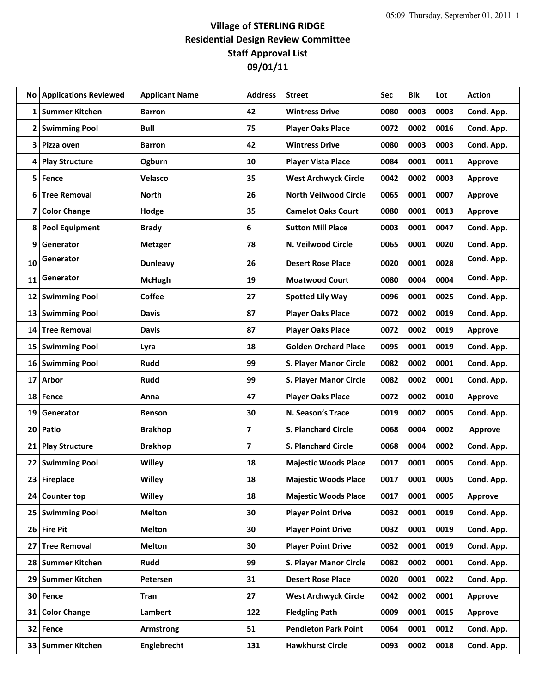## **Village of STERLING RIDGE Residential Design Review Committee Staff Approval List 09/01/11**

| No.             | <b>Applications Reviewed</b> | <b>Applicant Name</b> | <b>Address</b> | <b>Street</b>                 | Sec  | Blk  | Lot  | <b>Action</b>  |
|-----------------|------------------------------|-----------------------|----------------|-------------------------------|------|------|------|----------------|
| 1               | <b>Summer Kitchen</b>        | <b>Barron</b>         | 42             | <b>Wintress Drive</b>         | 0080 | 0003 | 0003 | Cond. App.     |
| 2               | <b>Swimming Pool</b>         | <b>Bull</b>           | 75             | <b>Player Oaks Place</b>      | 0072 | 0002 | 0016 | Cond. App.     |
| 3               | Pizza oven                   | Barron                | 42             | <b>Wintress Drive</b>         | 0080 | 0003 | 0003 | Cond. App.     |
| 4               | <b>Play Structure</b>        | Ogburn                | 10             | <b>Player Vista Place</b>     | 0084 | 0001 | 0011 | <b>Approve</b> |
| 5               | Fence                        | Velasco               | 35             | <b>West Archwyck Circle</b>   | 0042 | 0002 | 0003 | <b>Approve</b> |
| 6               | <b>Tree Removal</b>          | <b>North</b>          | 26             | <b>North Veilwood Circle</b>  | 0065 | 0001 | 0007 | <b>Approve</b> |
| 7               | <b>Color Change</b>          | Hodge                 | 35             | <b>Camelot Oaks Court</b>     | 0080 | 0001 | 0013 | Approve        |
| 8               | <b>Pool Equipment</b>        | <b>Brady</b>          | 6              | <b>Sutton Mill Place</b>      | 0003 | 0001 | 0047 | Cond. App.     |
| 9               | Generator                    | <b>Metzger</b>        | 78             | N. Veilwood Circle            | 0065 | 0001 | 0020 | Cond. App.     |
| 10              | Generator                    | <b>Dunleavy</b>       | 26             | <b>Desert Rose Place</b>      | 0020 | 0001 | 0028 | Cond. App.     |
| 11              | Generator                    | <b>McHugh</b>         | 19             | <b>Moatwood Court</b>         | 0080 | 0004 | 0004 | Cond. App.     |
| 12              | <b>Swimming Pool</b>         | <b>Coffee</b>         | 27             | <b>Spotted Lily Way</b>       | 0096 | 0001 | 0025 | Cond. App.     |
| 13              | <b>Swimming Pool</b>         | <b>Davis</b>          | 87             | <b>Player Oaks Place</b>      | 0072 | 0002 | 0019 | Cond. App.     |
| 14              | <b>Tree Removal</b>          | <b>Davis</b>          | 87             | <b>Player Oaks Place</b>      | 0072 | 0002 | 0019 | <b>Approve</b> |
| 15              | <b>Swimming Pool</b>         | Lyra                  | 18             | <b>Golden Orchard Place</b>   | 0095 | 0001 | 0019 | Cond. App.     |
| 16              | <b>Swimming Pool</b>         | <b>Rudd</b>           | 99             | S. Player Manor Circle        | 0082 | 0002 | 0001 | Cond. App.     |
| 17              | Arbor                        | Rudd                  | 99             | <b>S. Player Manor Circle</b> | 0082 | 0002 | 0001 | Cond. App.     |
| 18              | Fence                        | Anna                  | 47             | <b>Player Oaks Place</b>      | 0072 | 0002 | 0010 | <b>Approve</b> |
| 19              | Generator                    | <b>Benson</b>         | 30             | N. Season's Trace             | 0019 | 0002 | 0005 | Cond. App.     |
| 20              | Patio                        | <b>Brakhop</b>        | 7              | <b>S. Planchard Circle</b>    | 0068 | 0004 | 0002 | Approve        |
| 21              | <b>Play Structure</b>        | <b>Brakhop</b>        | $\overline{7}$ | S. Planchard Circle           | 0068 | 0004 | 0002 | Cond. App.     |
| 22              | <b>Swimming Pool</b>         | Willey                | 18             | <b>Majestic Woods Place</b>   | 0017 | 0001 | 0005 | Cond. App.     |
| 23              | <b>Fireplace</b>             | <b>Willey</b>         | 18             | <b>Majestic Woods Place</b>   | 0017 | 0001 | 0005 | Cond. App.     |
| 24              | <b>Counter top</b>           | Willey                | 18             | <b>Majestic Woods Place</b>   | 0017 | 0001 | 0005 | Approve        |
|                 | 25 Swimming Pool             | <b>Melton</b>         | 30             | <b>Player Point Drive</b>     | 0032 | 0001 | 0019 | Cond. App.     |
|                 | 26 Fire Pit                  | <b>Melton</b>         | 30             | <b>Player Point Drive</b>     | 0032 | 0001 | 0019 | Cond. App.     |
| 27              | <b>Tree Removal</b>          | <b>Melton</b>         | 30             | <b>Player Point Drive</b>     | 0032 | 0001 | 0019 | Cond. App.     |
| 28              | <b>Summer Kitchen</b>        | Rudd                  | 99             | S. Player Manor Circle        | 0082 | 0002 | 0001 | Cond. App.     |
| 29              | <b>Summer Kitchen</b>        | Petersen              | 31             | <b>Desert Rose Place</b>      | 0020 | 0001 | 0022 | Cond. App.     |
| 30              | Fence                        | Tran                  | 27             | <b>West Archwyck Circle</b>   | 0042 | 0002 | 0001 | Approve        |
| 31              | <b>Color Change</b>          | Lambert               | 122            | <b>Fledgling Path</b>         | 0009 | 0001 | 0015 | Approve        |
|                 | 32 Fence                     | Armstrong             | 51             | <b>Pendleton Park Point</b>   | 0064 | 0001 | 0012 | Cond. App.     |
| 33 <sup>1</sup> | <b>Summer Kitchen</b>        | Englebrecht           | 131            | <b>Hawkhurst Circle</b>       | 0093 | 0002 | 0018 | Cond. App.     |